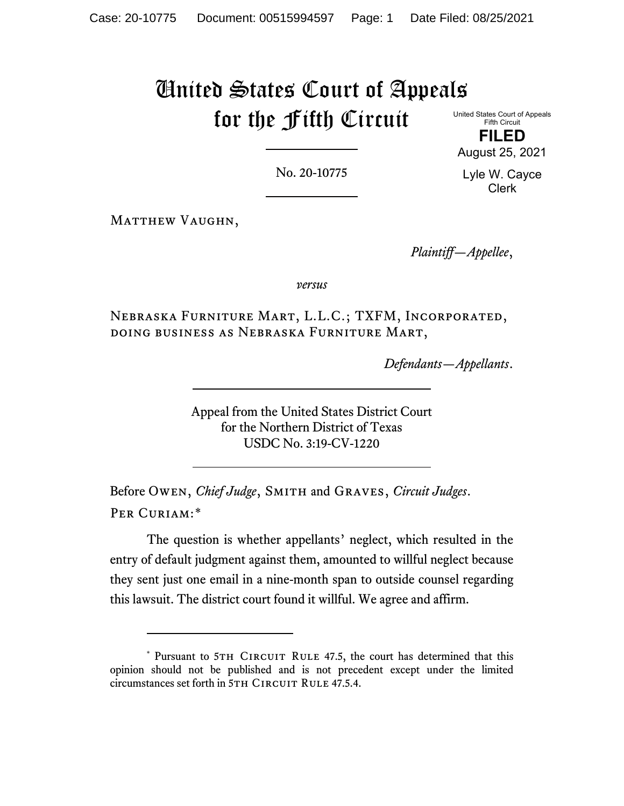# United States Court of Appeals for the Fifth Circuit

United States Court of Appeals Fifth Circuit

**FILED** August 25, 2021

No. 20-10775

Lyle W. Cayce Clerk

MATTHEW VAUGHN,

*Plaintiff—Appellee*,

*versus*

Nebraska Furniture Mart, L.L.C.; TXFM, Incorporated, doing business as Nebraska Furniture Mart,

*Defendants—Appellants*.

Appeal from the United States District Court for the Northern District of Texas USDC No. 3:19-CV-1220

Before Owen, *Chief Judge*, Smith and Graves, *Circuit Judges*. Per Curiam:[\\*](#page-0-0)

The question is whether appellants' neglect, which resulted in the entry of default judgment against them, amounted to willful neglect because they sent just one email in a nine-month span to outside counsel regarding this lawsuit. The district court found it willful. We agree and affirm.

<span id="page-0-0"></span><sup>\*</sup> Pursuant to 5TH CIRCUIT RULE 47.5, the court has determined that this opinion should not be published and is not precedent except under the limited circumstances set forth in 5TH CIRCUIT RULE 47.5.4.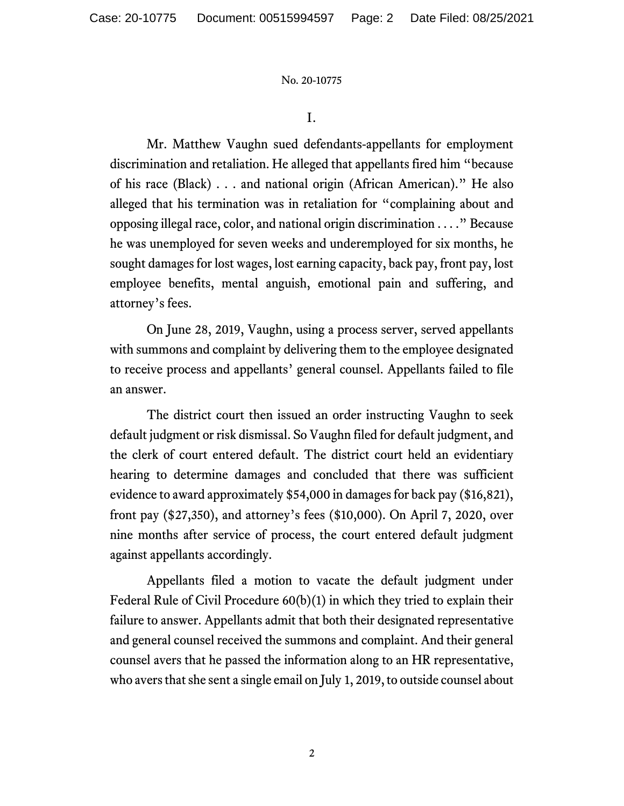I.

Mr. Matthew Vaughn sued defendants-appellants for employment discrimination and retaliation. He alleged that appellants fired him "because of his race (Black) . . . and national origin (African American)." He also alleged that his termination was in retaliation for "complaining about and opposing illegal race, color, and national origin discrimination . . . ." Because he was unemployed for seven weeks and underemployed for six months, he sought damages for lost wages, lost earning capacity, back pay, front pay, lost employee benefits, mental anguish, emotional pain and suffering, and attorney's fees.

On June 28, 2019, Vaughn, using a process server, served appellants with summons and complaint by delivering them to the employee designated to receive process and appellants' general counsel. Appellants failed to file an answer.

The district court then issued an order instructing Vaughn to seek default judgment or risk dismissal. So Vaughn filed for default judgment, and the clerk of court entered default. The district court held an evidentiary hearing to determine damages and concluded that there was sufficient evidence to award approximately \$54,000 in damages for back pay (\$16,821), front pay (\$27,350), and attorney's fees (\$10,000). On April 7, 2020, over nine months after service of process, the court entered default judgment against appellants accordingly.

Appellants filed a motion to vacate the default judgment under Federal Rule of Civil Procedure 60(b)(1) in which they tried to explain their failure to answer. Appellants admit that both their designated representative and general counsel received the summons and complaint. And their general counsel avers that he passed the information along to an HR representative, who avers that she sent a single email on July 1, 2019, to outside counsel about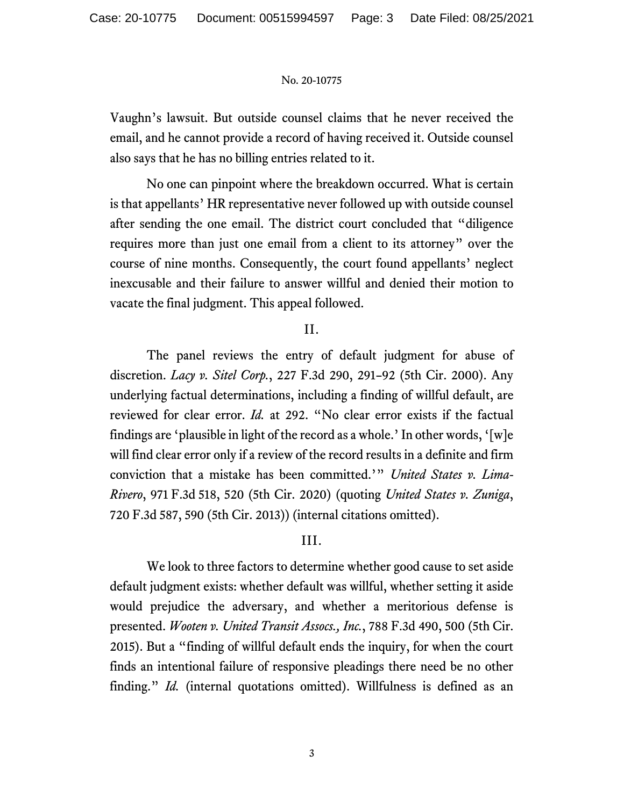Vaughn's lawsuit. But outside counsel claims that he never received the email, and he cannot provide a record of having received it. Outside counsel also says that he has no billing entries related to it.

No one can pinpoint where the breakdown occurred. What is certain is that appellants' HR representative never followed up with outside counsel after sending the one email. The district court concluded that "diligence requires more than just one email from a client to its attorney" over the course of nine months. Consequently, the court found appellants' neglect inexcusable and their failure to answer willful and denied their motion to vacate the final judgment. This appeal followed.

## II.

The panel reviews the entry of default judgment for abuse of discretion. *Lacy v. Sitel Corp.*, 227 F.3d 290, 291–92 (5th Cir. 2000). Any underlying factual determinations, including a finding of willful default, are reviewed for clear error. *Id.* at 292. "No clear error exists if the factual findings are 'plausible in light of the record as a whole.'In other words, '[w]e will find clear error only if a review of the record results in a definite and firm conviction that a mistake has been committed.'" *United States v. Lima-Rivero*, 971 F.3d 518, 520 (5th Cir. 2020) (quoting *United States v. Zuniga*, 720 F.3d 587, 590 (5th Cir. 2013)) (internal citations omitted).

## III.

We look to three factors to determine whether good cause to set aside default judgment exists: whether default was willful, whether setting it aside would prejudice the adversary, and whether a meritorious defense is presented. *Wooten v. United Transit Assocs., Inc.*, 788 F.3d 490, 500 (5th Cir. 2015). But a "finding of willful default ends the inquiry, for when the court finds an intentional failure of responsive pleadings there need be no other finding." *Id.* (internal quotations omitted). Willfulness is defined as an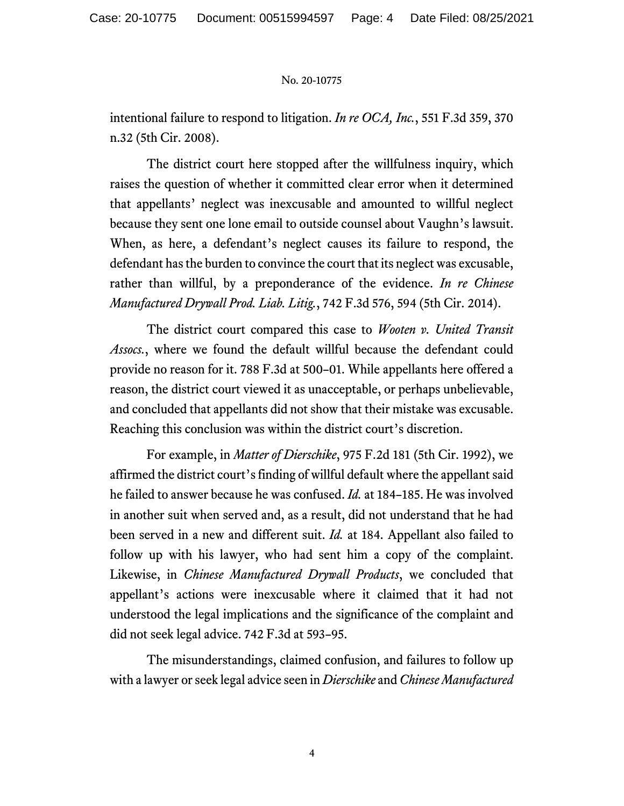intentional failure to respond to litigation. *In re OCA, Inc.*, 551 F.3d 359, 370 n.32 (5th Cir. 2008).

The district court here stopped after the willfulness inquiry, which raises the question of whether it committed clear error when it determined that appellants' neglect was inexcusable and amounted to willful neglect because they sent one lone email to outside counsel about Vaughn's lawsuit. When, as here, a defendant's neglect causes its failure to respond, the defendant has the burden to convince the court that its neglect was excusable, rather than willful, by a preponderance of the evidence. *In re Chinese Manufactured Drywall Prod. Liab. Litig.*, 742 F.3d 576, 594 (5th Cir. 2014).

The district court compared this case to *Wooten v. United Transit Assocs.*, where we found the default willful because the defendant could provide no reason for it. 788 F.3d at 500–01. While appellants here offered a reason, the district court viewed it as unacceptable, or perhaps unbelievable, and concluded that appellants did not show that their mistake was excusable. Reaching this conclusion was within the district court's discretion.

For example, in *Matter of Dierschike*, 975 F.2d 181 (5th Cir. 1992), we affirmed the district court's finding of willful default where the appellant said he failed to answer because he was confused. *Id.* at 184–185. He was involved in another suit when served and, as a result, did not understand that he had been served in a new and different suit. *Id.* at 184. Appellant also failed to follow up with his lawyer, who had sent him a copy of the complaint. Likewise, in *Chinese Manufactured Drywall Products*, we concluded that appellant's actions were inexcusable where it claimed that it had not understood the legal implications and the significance of the complaint and did not seek legal advice. 742 F.3d at 593–95.

The misunderstandings, claimed confusion, and failures to follow up with a lawyer or seek legal advice seen in *Dierschike* and *Chinese Manufactured*